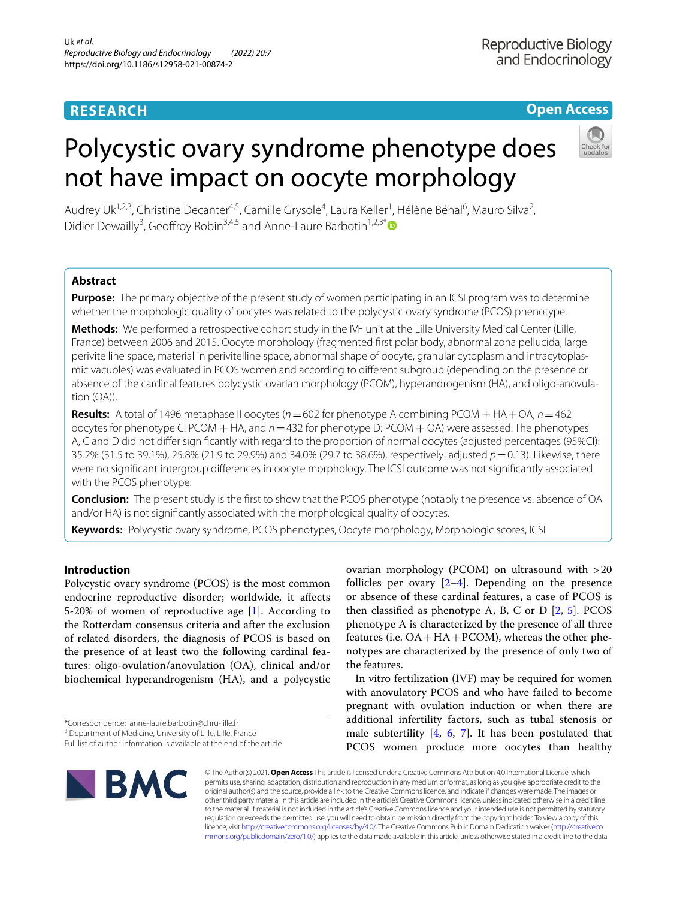# **RESEARCH**

## **Open Access**

# Polycystic ovary syndrome phenotype does not have impact on oocyte morphology



Audrey Uk<sup>1,2,3</sup>, Christine Decanter<sup>4,5</sup>, Camille Grysole<sup>4</sup>, Laura Keller<sup>1</sup>, Hélène Béhal<sup>6</sup>, Mauro Silva<sup>2</sup>, Didier Dewailly<sup>3</sup>, Geoffroy Robin<sup>3,4,5</sup> and Anne-Laure Barbotin<sup>1,2,3[\\*](http://orcid.org/0000-0002-8985-6061)</sup>

### **Abstract**

**Purpose:** The primary objective of the present study of women participating in an ICSI program was to determine whether the morphologic quality of oocytes was related to the polycystic ovary syndrome (PCOS) phenotype.

**Methods:** We performed a retrospective cohort study in the IVF unit at the Lille University Medical Center (Lille, France) between 2006 and 2015. Oocyte morphology (fragmented frst polar body, abnormal zona pellucida, large perivitelline space, material in perivitelline space, abnormal shape of oocyte, granular cytoplasm and intracytoplasmic vacuoles) was evaluated in PCOS women and according to diferent subgroup (depending on the presence or absence of the cardinal features polycystic ovarian morphology (PCOM), hyperandrogenism (HA), and oligo-anovulation (OA)).

**Results:** A total of 1496 metaphase II oocytes (*n*=602 for phenotype A combining PCOM + HA+OA, *n*=462 oocytes for phenotype C: PCOM + HA, and *n*=432 for phenotype D: PCOM + OA) were assessed. The phenotypes A, C and D did not difer signifcantly with regard to the proportion of normal oocytes (adjusted percentages (95%CI): 35.2% (31.5 to 39.1%), 25.8% (21.9 to 29.9%) and 34.0% (29.7 to 38.6%), respectively: adjusted *p*=0.13). Likewise, there were no signifcant intergroup diferences in oocyte morphology. The ICSI outcome was not signifcantly associated with the PCOS phenotype.

**Conclusion:** The present study is the frst to show that the PCOS phenotype (notably the presence vs. absence of OA and/or HA) is not signifcantly associated with the morphological quality of oocytes.

**Keywords:** Polycystic ovary syndrome, PCOS phenotypes, Oocyte morphology, Morphologic scores, ICSI

### **Introduction**

Polycystic ovary syndrome (PCOS) is the most common endocrine reproductive disorder; worldwide, it afects 5-20% of women of reproductive age [\[1](#page-10-0)]. According to the Rotterdam consensus criteria and after the exclusion of related disorders, the diagnosis of PCOS is based on the presence of at least two the following cardinal features: oligo-ovulation/anovulation (OA), clinical and/or biochemical hyperandrogenism (HA), and a polycystic

ovarian morphology (PCOM) on ultrasound with >20 follicles per ovary  $[2-4]$  $[2-4]$ . Depending on the presence or absence of these cardinal features, a case of PCOS is then classified as phenotype A, B, C or D  $[2, 5]$  $[2, 5]$  $[2, 5]$  $[2, 5]$  $[2, 5]$ . PCOS phenotype A is characterized by the presence of all three features (i.e.  $OA + HA + PCOM$ ), whereas the other phenotypes are characterized by the presence of only two of the features.

In vitro fertilization (IVF) may be required for women with anovulatory PCOS and who have failed to become pregnant with ovulation induction or when there are additional infertility factors, such as tubal stenosis or male subfertility  $[4, 6, 7]$  $[4, 6, 7]$  $[4, 6, 7]$  $[4, 6, 7]$  $[4, 6, 7]$  $[4, 6, 7]$ . It has been postulated that PCOS women produce more oocytes than healthy



© The Author(s) 2021. **Open Access** This article is licensed under a Creative Commons Attribution 4.0 International License, which permits use, sharing, adaptation, distribution and reproduction in any medium or format, as long as you give appropriate credit to the original author(s) and the source, provide a link to the Creative Commons licence, and indicate if changes were made. The images or other third party material in this article are included in the article's Creative Commons licence, unless indicated otherwise in a credit line to the material. If material is not included in the article's Creative Commons licence and your intended use is not permitted by statutory regulation or exceeds the permitted use, you will need to obtain permission directly from the copyright holder. To view a copy of this licence, visit [http://creativecommons.org/licenses/by/4.0/.](http://creativecommons.org/licenses/by/4.0/) The Creative Commons Public Domain Dedication waiver ([http://creativeco](http://creativecommons.org/publicdomain/zero/1.0/) [mmons.org/publicdomain/zero/1.0/](http://creativecommons.org/publicdomain/zero/1.0/)) applies to the data made available in this article, unless otherwise stated in a credit line to the data.

<sup>\*</sup>Correspondence: anne-laure.barbotin@chru-lille.fr

<sup>&</sup>lt;sup>3</sup> Department of Medicine, University of Lille, Lille, France

Full list of author information is available at the end of the article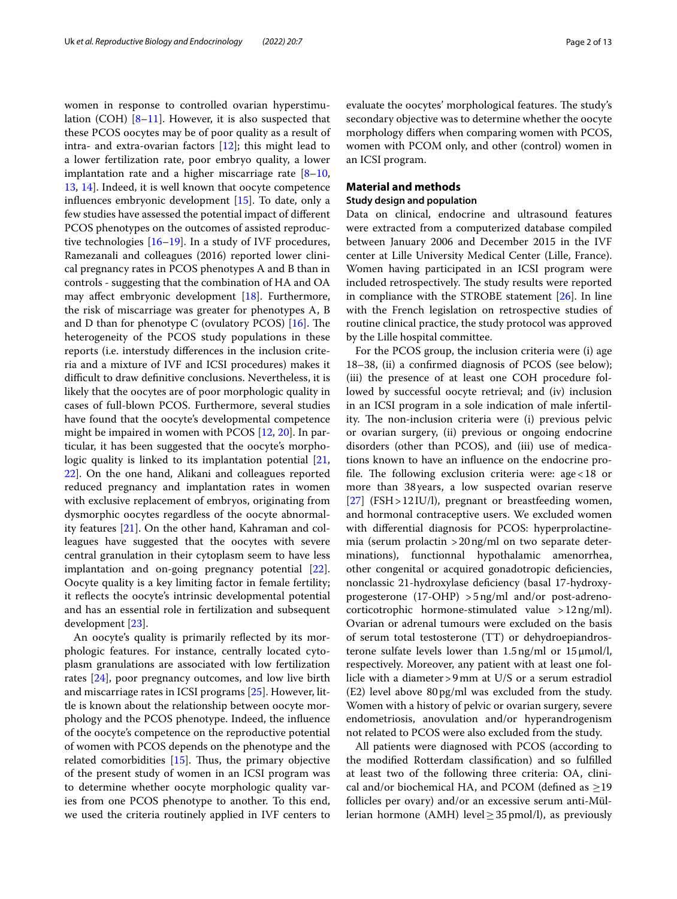women in response to controlled ovarian hyperstimulation (COH) [\[8–](#page-10-6)[11\]](#page-10-7). However, it is also suspected that these PCOS oocytes may be of poor quality as a result of intra- and extra-ovarian factors [[12\]](#page-10-8); this might lead to a lower fertilization rate, poor embryo quality, a lower implantation rate and a higher miscarriage rate  $[8-10, 1]$  $[8-10, 1]$  $[8-10, 1]$ [13,](#page-10-10) [14](#page-10-11)]. Indeed, it is well known that oocyte competence infuences embryonic development [[15\]](#page-10-12). To date, only a few studies have assessed the potential impact of diferent PCOS phenotypes on the outcomes of assisted reproductive technologies  $[16–19]$  $[16–19]$  $[16–19]$ . In a study of IVF procedures, Ramezanali and colleagues (2016) reported lower clinical pregnancy rates in PCOS phenotypes A and B than in controls - suggesting that the combination of HA and OA may afect embryonic development [[18\]](#page-11-1). Furthermore, the risk of miscarriage was greater for phenotypes A, B and D than for phenotype C (ovulatory PCOS)  $[16]$  $[16]$ . The heterogeneity of the PCOS study populations in these reports (i.e. interstudy diferences in the inclusion criteria and a mixture of IVF and ICSI procedures) makes it difficult to draw definitive conclusions. Nevertheless, it is likely that the oocytes are of poor morphologic quality in cases of full-blown PCOS. Furthermore, several studies have found that the oocyte's developmental competence might be impaired in women with PCOS [\[12,](#page-10-8) [20](#page-11-2)]. In particular, it has been suggested that the oocyte's morpho-logic quality is linked to its implantation potential [\[21](#page-11-3), [22\]](#page-11-4). On the one hand, Alikani and colleagues reported reduced pregnancy and implantation rates in women with exclusive replacement of embryos, originating from dysmorphic oocytes regardless of the oocyte abnormality features [[21\]](#page-11-3). On the other hand, Kahraman and colleagues have suggested that the oocytes with severe central granulation in their cytoplasm seem to have less implantation and on-going pregnancy potential [\[22](#page-11-4)]. Oocyte quality is a key limiting factor in female fertility; it refects the oocyte's intrinsic developmental potential and has an essential role in fertilization and subsequent development [\[23](#page-11-5)].

An oocyte's quality is primarily refected by its morphologic features. For instance, centrally located cytoplasm granulations are associated with low fertilization rates [[24\]](#page-11-6), poor pregnancy outcomes, and low live birth and miscarriage rates in ICSI programs [[25\]](#page-11-7). However, little is known about the relationship between oocyte morphology and the PCOS phenotype. Indeed, the infuence of the oocyte's competence on the reproductive potential of women with PCOS depends on the phenotype and the related comorbidities  $[15]$  $[15]$ . Thus, the primary objective of the present study of women in an ICSI program was to determine whether oocyte morphologic quality varies from one PCOS phenotype to another. To this end, we used the criteria routinely applied in IVF centers to evaluate the oocytes' morphological features. The study's secondary objective was to determine whether the oocyte morphology difers when comparing women with PCOS, women with PCOM only, and other (control) women in an ICSI program.

#### **Material and methods**

#### **Study design and population**

Data on clinical, endocrine and ultrasound features were extracted from a computerized database compiled between January 2006 and December 2015 in the IVF center at Lille University Medical Center (Lille, France). Women having participated in an ICSI program were included retrospectively. The study results were reported in compliance with the STROBE statement [\[26](#page-11-8)]. In line with the French legislation on retrospective studies of routine clinical practice, the study protocol was approved by the Lille hospital committee.

For the PCOS group, the inclusion criteria were (i) age 18–38, (ii) a confrmed diagnosis of PCOS (see below); (iii) the presence of at least one COH procedure followed by successful oocyte retrieval; and (iv) inclusion in an ICSI program in a sole indication of male infertility. The non-inclusion criteria were (i) previous pelvic or ovarian surgery, (ii) previous or ongoing endocrine disorders (other than PCOS), and (iii) use of medications known to have an infuence on the endocrine profile. The following exclusion criteria were:  $age < 18$  or more than 38years, a low suspected ovarian reserve [[27\]](#page-11-9) (FSH>12IU/l), pregnant or breastfeeding women, and hormonal contraceptive users. We excluded women with diferential diagnosis for PCOS: hyperprolactinemia (serum prolactin >20ng/ml on two separate determinations), functionnal hypothalamic amenorrhea, other congenital or acquired gonadotropic defciencies, nonclassic 21-hydroxylase defciency (basal 17-hydroxyprogesterone (17-OHP) >5ng/ml and/or post-adrenocorticotrophic hormone-stimulated value >12ng/ml). Ovarian or adrenal tumours were excluded on the basis of serum total testosterone (TT) or dehydroepiandrosterone sulfate levels lower than 1.5ng/ml or 15μmol/l, respectively. Moreover, any patient with at least one follicle with a diameter>9mm at U/S or a serum estradiol (E2) level above 80pg/ml was excluded from the study. Women with a history of pelvic or ovarian surgery, severe endometriosis, anovulation and/or hyperandrogenism not related to PCOS were also excluded from the study.

All patients were diagnosed with PCOS (according to the modifed Rotterdam classifcation) and so fulflled at least two of the following three criteria: OA, clinical and/or biochemical HA, and PCOM (defined as  $\geq$ 19 follicles per ovary) and/or an excessive serum anti-Müllerian hormone (AMH) level  $\geq$  35 pmol/l), as previously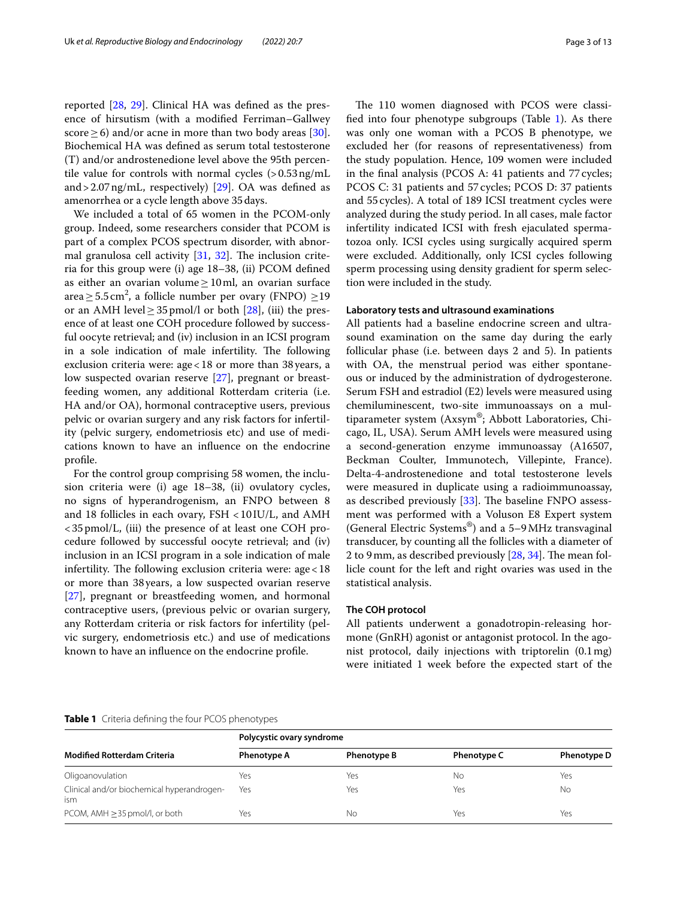reported [\[28](#page-11-10), [29\]](#page-11-11). Clinical HA was defned as the presence of hirsutism (with a modifed Ferriman–Gallwey score  $\geq$  6) and/or acne in more than two body areas [\[30](#page-11-12)]. Biochemical HA was defned as serum total testosterone (T) and/or androstenedione level above the 95th percentile value for controls with normal cycles  $(>0.53 \text{ ng/mL})$ and > 2.07 ng/mL, respectively) [ $29$ ]. OA was defined as amenorrhea or a cycle length above 35days.

We included a total of 65 women in the PCOM-only group. Indeed, some researchers consider that PCOM is part of a complex PCOS spectrum disorder, with abnormal granulosa cell activity  $[31, 32]$  $[31, 32]$  $[31, 32]$  $[31, 32]$ . The inclusion criteria for this group were (i) age 18–38, (ii) PCOM defned as either an ovarian volume $\geq 10$ ml, an ovarian surface area $\geq$  5.5 cm<sup>2</sup>, a follicle number per ovary (FNPO)  $\geq$ 19 or an AMH level $\geq$  35 pmol/l or both [\[28\]](#page-11-10), (iii) the presence of at least one COH procedure followed by successful oocyte retrieval; and (iv) inclusion in an ICSI program in a sole indication of male infertility. The following exclusion criteria were: age<18 or more than 38 years, a low suspected ovarian reserve [\[27\]](#page-11-9), pregnant or breastfeeding women, any additional Rotterdam criteria (i.e. HA and/or OA), hormonal contraceptive users, previous pelvic or ovarian surgery and any risk factors for infertility (pelvic surgery, endometriosis etc) and use of medications known to have an infuence on the endocrine profle.

For the control group comprising 58 women, the inclusion criteria were (i) age 18–38, (ii) ovulatory cycles, no signs of hyperandrogenism, an FNPO between 8 and 18 follicles in each ovary, FSH <10IU/L, and AMH <35pmol/L, (iii) the presence of at least one COH procedure followed by successful oocyte retrieval; and (iv) inclusion in an ICSI program in a sole indication of male infertility. The following exclusion criteria were:  $age < 18$ or more than 38 years, a low suspected ovarian reserve [[27\]](#page-11-9), pregnant or breastfeeding women, and hormonal contraceptive users, (previous pelvic or ovarian surgery, any Rotterdam criteria or risk factors for infertility (pelvic surgery, endometriosis etc.) and use of medications known to have an infuence on the endocrine profle.

The 110 women diagnosed with PCOS were classified into four phenotype subgroups (Table  $1$ ). As there was only one woman with a PCOS B phenotype, we excluded her (for reasons of representativeness) from the study population. Hence, 109 women were included in the fnal analysis (PCOS A: 41 patients and 77cycles; PCOS C: 31 patients and 57cycles; PCOS D: 37 patients and 55cycles). A total of 189 ICSI treatment cycles were analyzed during the study period. In all cases, male factor infertility indicated ICSI with fresh ejaculated spermatozoa only. ICSI cycles using surgically acquired sperm were excluded. Additionally, only ICSI cycles following sperm processing using density gradient for sperm selection were included in the study.

#### **Laboratory tests and ultrasound examinations**

All patients had a baseline endocrine screen and ultrasound examination on the same day during the early follicular phase (i.e. between days 2 and 5). In patients with OA, the menstrual period was either spontaneous or induced by the administration of dydrogesterone. Serum FSH and estradiol (E2) levels were measured using chemiluminescent, two-site immunoassays on a multiparameter system (Axsym®; Abbott Laboratories, Chicago, IL, USA). Serum AMH levels were measured using a second-generation enzyme immunoassay (A16507, Beckman Coulter, Immunotech, Villepinte, France). Delta-4-androstenedione and total testosterone levels were measured in duplicate using a radioimmunoassay, as described previously [[33\]](#page-11-15). The baseline FNPO assessment was performed with a Voluson E8 Expert system (General Electric Systems®) and a 5–9MHz transvaginal transducer, by counting all the follicles with a diameter of 2 to 9 mm, as described previously  $[28, 34]$  $[28, 34]$  $[28, 34]$  $[28, 34]$ . The mean follicle count for the left and right ovaries was used in the statistical analysis.

#### **The COH protocol**

All patients underwent a gonadotropin-releasing hormone (GnRH) agonist or antagonist protocol. In the agonist protocol, daily injections with triptorelin (0.1mg) were initiated 1 week before the expected start of the

#### <span id="page-2-0"></span>**Table 1** Criteria defning the four PCOS phenotypes

| <b>Modified Rotterdam Criteria</b>                | Polycystic ovary syndrome |                    |             |                    |  |
|---------------------------------------------------|---------------------------|--------------------|-------------|--------------------|--|
|                                                   | Phenotype A               | <b>Phenotype B</b> | Phenotype C | <b>Phenotype D</b> |  |
| Oligoanovulation                                  | Yes                       | Yes                | Νo          | Yes                |  |
| Clinical and/or biochemical hyperandrogen-<br>ism | Yes                       | Yes                | Yes         | No                 |  |
| PCOM, AMH $\geq$ 35 pmol/l, or both               | Yes                       | Nο                 | Yes         | Yes                |  |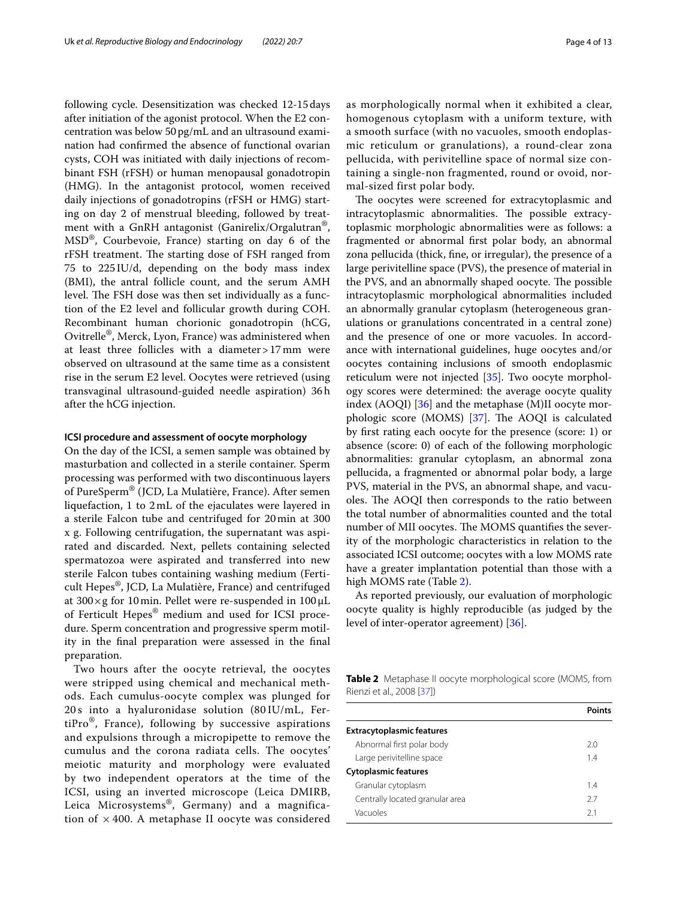following cycle. Desensitization was checked 12-15days after initiation of the agonist protocol. When the E2 concentration was below 50pg/mL and an ultrasound examination had confrmed the absence of functional ovarian cysts, COH was initiated with daily injections of recombinant FSH (rFSH) or human menopausal gonadotropin (HMG). In the antagonist protocol, women received daily injections of gonadotropins (rFSH or HMG) starting on day 2 of menstrual bleeding, followed by treatment with a GnRH antagonist (Ganirelix/Orgalutran®, MSD®, Courbevoie, France) starting on day 6 of the rFSH treatment. The starting dose of FSH ranged from 75 to 225 IU/d, depending on the body mass index (BMI), the antral follicle count, and the serum AMH level. The FSH dose was then set individually as a function of the E2 level and follicular growth during COH. Recombinant human chorionic gonadotropin (hCG, Ovitrelle®, Merck, Lyon, France) was administered when at least three follicles with a diameter>17mm were observed on ultrasound at the same time as a consistent rise in the serum E2 level. Oocytes were retrieved (using transvaginal ultrasound-guided needle aspiration) 36h after the hCG injection.

#### **ICSI procedure and assessment of oocyte morphology**

On the day of the ICSI, a semen sample was obtained by masturbation and collected in a sterile container. Sperm processing was performed with two discontinuous layers of PureSperm® (JCD, La Mulatière, France). After semen liquefaction, 1 to 2mL of the ejaculates were layered in a sterile Falcon tube and centrifuged for 20min at 300 x g. Following centrifugation, the supernatant was aspirated and discarded. Next, pellets containing selected spermatozoa were aspirated and transferred into new sterile Falcon tubes containing washing medium (Ferticult Hepes®, JCD, La Mulatière, France) and centrifuged at 300×g for 10min. Pellet were re-suspended in 100 μL of Ferticult Hepes® medium and used for ICSI procedure. Sperm concentration and progressive sperm motility in the fnal preparation were assessed in the fnal preparation.

Two hours after the oocyte retrieval, the oocytes were stripped using chemical and mechanical methods. Each cumulus-oocyte complex was plunged for 20 s into a hyaluronidase solution (80 IU/mL, FertiPro $\mathcal{O}_1$ , France), following by successive aspirations and expulsions through a micropipette to remove the cumulus and the corona radiata cells. The oocytes' meiotic maturity and morphology were evaluated by two independent operators at the time of the ICSI, using an inverted microscope (Leica DMIRB, Leica Microsystems®, Germany) and a magnification of  $\times$  400. A metaphase II oocyte was considered as morphologically normal when it exhibited a clear, homogenous cytoplasm with a uniform texture, with a smooth surface (with no vacuoles, smooth endoplasmic reticulum or granulations), a round-clear zona pellucida, with perivitelline space of normal size containing a single-non fragmented, round or ovoid, normal-sized first polar body.

The oocytes were screened for extracytoplasmic and intracytoplasmic abnormalities. The possible extracytoplasmic morphologic abnormalities were as follows: a fragmented or abnormal frst polar body, an abnormal zona pellucida (thick, fne, or irregular), the presence of a large perivitelline space (PVS), the presence of material in the PVS, and an abnormally shaped oocyte. The possible intracytoplasmic morphological abnormalities included an abnormally granular cytoplasm (heterogeneous granulations or granulations concentrated in a central zone) and the presence of one or more vacuoles. In accordance with international guidelines, huge oocytes and/or oocytes containing inclusions of smooth endoplasmic reticulum were not injected [\[35\]](#page-11-17). Two oocyte morphology scores were determined: the average oocyte quality index  $(AOQI)$  [[36\]](#page-11-18) and the metaphase  $(M)II$  oocyte morphologic score (MOMS)  $[37]$ . The AOQI is calculated by frst rating each oocyte for the presence (score: 1) or absence (score: 0) of each of the following morphologic abnormalities: granular cytoplasm, an abnormal zona pellucida, a fragmented or abnormal polar body, a large PVS, material in the PVS, an abnormal shape, and vacuoles. The AOQI then corresponds to the ratio between the total number of abnormalities counted and the total number of MII oocytes. The MOMS quantifies the severity of the morphologic characteristics in relation to the associated ICSI outcome; oocytes with a low MOMS rate have a greater implantation potential than those with a high MOMS rate (Table [2](#page-3-0)).

As reported previously, our evaluation of morphologic oocyte quality is highly reproducible (as judged by the level of inter-operator agreement) [\[36](#page-11-18)].

<span id="page-3-0"></span>**Table 2** Metaphase II oocyte morphological score (MOMS, from Rienzi et al., 2008 [[37\]](#page-11-19))

| <b>Extracytoplasmic features</b> |     |
|----------------------------------|-----|
| Abnormal first polar body        | 2.0 |
| Large perivitelline space        | 14  |
| <b>Cytoplasmic features</b>      |     |
| Granular cytoplasm               | 14  |
| Centrally located granular area  | 27  |
| Vacuoles                         | 21  |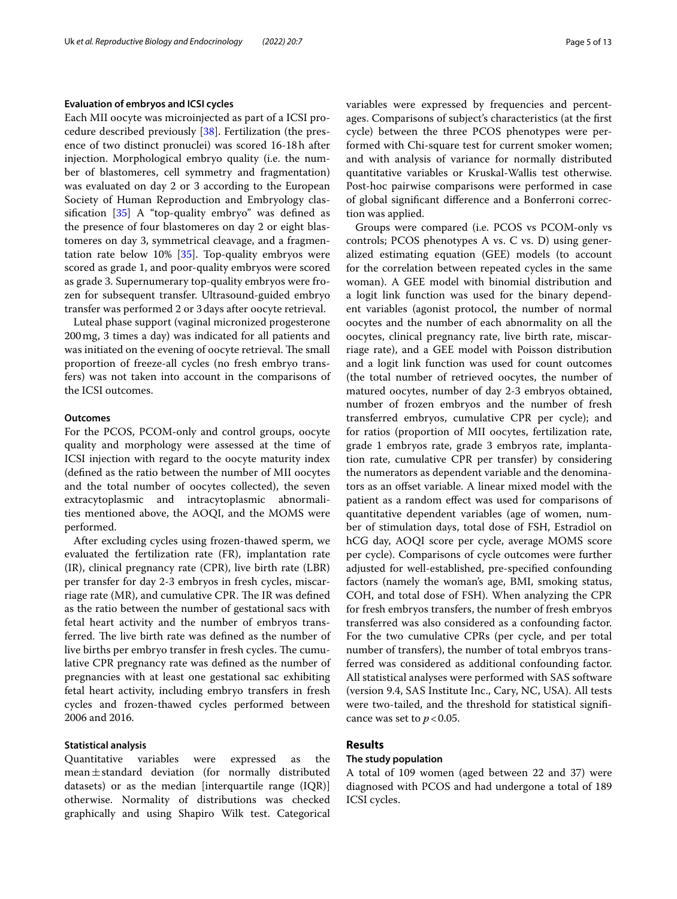#### **Evaluation of embryos and ICSI cycles**

Each MII oocyte was microinjected as part of a ICSI procedure described previously [[38\]](#page-11-20). Fertilization (the presence of two distinct pronuclei) was scored 16-18h after injection. Morphological embryo quality (i.e. the number of blastomeres, cell symmetry and fragmentation) was evaluated on day 2 or 3 according to the European Society of Human Reproduction and Embryology classifcation [\[35](#page-11-17)] A "top-quality embryo" was defned as the presence of four blastomeres on day 2 or eight blastomeres on day 3, symmetrical cleavage, and a fragmentation rate below 10% [\[35\]](#page-11-17). Top-quality embryos were scored as grade 1, and poor-quality embryos were scored as grade 3. Supernumerary top-quality embryos were frozen for subsequent transfer. Ultrasound-guided embryo transfer was performed 2 or 3days after oocyte retrieval.

Luteal phase support (vaginal micronized progesterone 200mg, 3 times a day) was indicated for all patients and was initiated on the evening of oocyte retrieval. The small proportion of freeze-all cycles (no fresh embryo transfers) was not taken into account in the comparisons of the ICSI outcomes.

#### **Outcomes**

For the PCOS, PCOM-only and control groups, oocyte quality and morphology were assessed at the time of ICSI injection with regard to the oocyte maturity index (defned as the ratio between the number of MII oocytes and the total number of oocytes collected), the seven extracytoplasmic and intracytoplasmic abnormalities mentioned above, the AOQI, and the MOMS were performed.

After excluding cycles using frozen-thawed sperm, we evaluated the fertilization rate (FR), implantation rate (IR), clinical pregnancy rate (CPR), live birth rate (LBR) per transfer for day 2-3 embryos in fresh cycles, miscarriage rate ( $MR$ ), and cumulative CPR. The IR was defined as the ratio between the number of gestational sacs with fetal heart activity and the number of embryos transferred. The live birth rate was defined as the number of live births per embryo transfer in fresh cycles. The cumulative CPR pregnancy rate was defned as the number of pregnancies with at least one gestational sac exhibiting fetal heart activity, including embryo transfers in fresh cycles and frozen-thawed cycles performed between 2006 and 2016.

#### **Statistical analysis**

Quantitative variables were expressed as the mean $\pm$ standard deviation (for normally distributed datasets) or as the median [interquartile range (IQR)] otherwise. Normality of distributions was checked graphically and using Shapiro Wilk test. Categorical variables were expressed by frequencies and percentages. Comparisons of subject's characteristics (at the frst cycle) between the three PCOS phenotypes were performed with Chi-square test for current smoker women; and with analysis of variance for normally distributed quantitative variables or Kruskal-Wallis test otherwise. Post-hoc pairwise comparisons were performed in case of global signifcant diference and a Bonferroni correction was applied.

Groups were compared (i.e. PCOS vs PCOM-only vs controls; PCOS phenotypes A vs. C vs. D) using generalized estimating equation (GEE) models (to account for the correlation between repeated cycles in the same woman). A GEE model with binomial distribution and a logit link function was used for the binary dependent variables (agonist protocol, the number of normal oocytes and the number of each abnormality on all the oocytes, clinical pregnancy rate, live birth rate, miscarriage rate), and a GEE model with Poisson distribution and a logit link function was used for count outcomes (the total number of retrieved oocytes, the number of matured oocytes, number of day 2-3 embryos obtained, number of frozen embryos and the number of fresh transferred embryos, cumulative CPR per cycle); and for ratios (proportion of MII oocytes, fertilization rate, grade 1 embryos rate, grade 3 embryos rate, implantation rate, cumulative CPR per transfer) by considering the numerators as dependent variable and the denominators as an ofset variable. A linear mixed model with the patient as a random efect was used for comparisons of quantitative dependent variables (age of women, number of stimulation days, total dose of FSH, Estradiol on hCG day, AOQI score per cycle, average MOMS score per cycle). Comparisons of cycle outcomes were further adjusted for well-established, pre-specifed confounding factors (namely the woman's age, BMI, smoking status, COH, and total dose of FSH). When analyzing the CPR for fresh embryos transfers, the number of fresh embryos transferred was also considered as a confounding factor. For the two cumulative CPRs (per cycle, and per total number of transfers), the number of total embryos transferred was considered as additional confounding factor. All statistical analyses were performed with SAS software (version 9.4, SAS Institute Inc., Cary, NC, USA). All tests were two-tailed, and the threshold for statistical signifcance was set to  $p < 0.05$ .

### **Results**

#### **The study population**

A total of 109 women (aged between 22 and 37) were diagnosed with PCOS and had undergone a total of 189 ICSI cycles.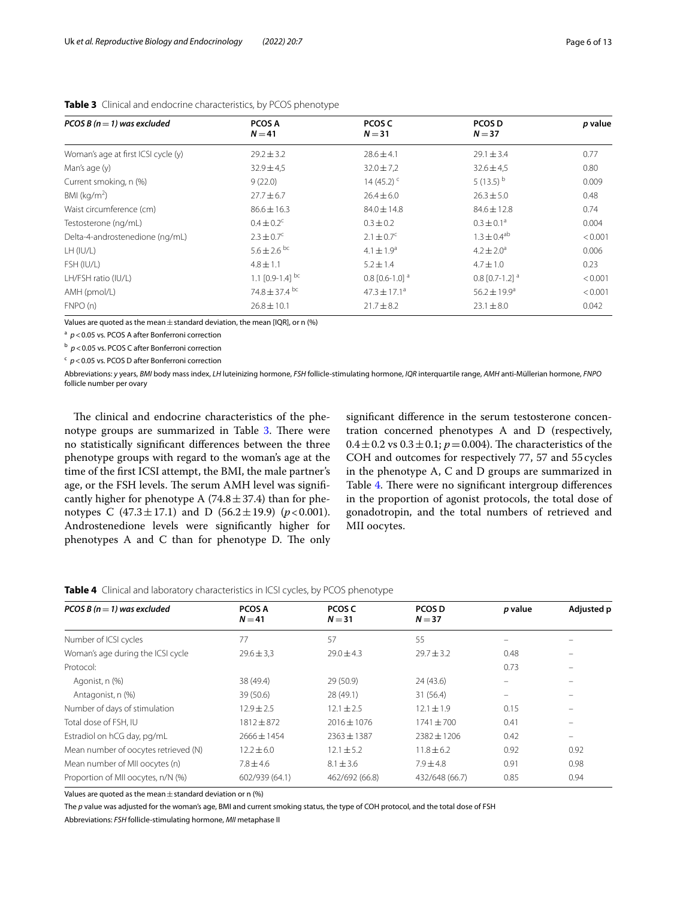| PCOS B ( $n = 1$ ) was excluded     | PCOS A<br>$N = 41$            | PCOS C<br>$N = 31$           | PCOS D<br>$N = 37$           | p value |
|-------------------------------------|-------------------------------|------------------------------|------------------------------|---------|
|                                     |                               |                              |                              |         |
| Woman's age at first ICSI cycle (y) | $29.2 \pm 3.2$                | $28.6 \pm 4.1$               | $29.1 \pm 3.4$               | 0.77    |
| Man's age (y)                       | $32.9 \pm 4.5$                | $32.0 \pm 7.2$               | $32.6 \pm 4.5$               | 0.80    |
| Current smoking, n (%)              | 9(22.0)                       | 14 (45.2) $\textdegree$      | 5 $(13.5)^{b}$               | 0.009   |
| BMI ( $\text{kg/m}^2$ )             | $27.7 \pm 6.7$                | $26.4 \pm 6.0$               | $26.3 \pm 5.0$               | 0.48    |
| Waist circumference (cm)            | $86.6 \pm 16.3$               | $84.0 \pm 14.8$              | $84.6 \pm 12.8$              | 0.74    |
| Testosterone (ng/mL)                | $0.4 \pm 0.2^{\circ}$         | $0.3 \pm 0.2$                | $0.3 \pm 0.1^a$              | 0.004   |
| Delta-4-androstenedione (ng/mL)     | $2.3 \pm 0.7^{\circ}$         | $2.1 \pm 0.7^c$              | $1.3 \pm 0.4^{ab}$           | < 0.001 |
| LH (IU/L)                           | $5.6 \pm 2.6$ bc              | $4.1 \pm 1.9^a$              | $4.2 \pm 2.0^a$              | 0.006   |
| FSH (IU/L)                          | $4.8 \pm 1.1$                 | $5.2 \pm 1.4$                | $4.7 \pm 1.0$                | 0.23    |
| LH/FSH ratio (IU/L)                 | 1.1 $[0.9-1.4]$ <sup>bc</sup> | $0.8$ [0.6-1.0] <sup>a</sup> | $0.8$ [0.7-1.2] <sup>a</sup> | < 0.001 |
| AMH (pmol/L)                        | 74.8 $\pm$ 37.4 <sup>bc</sup> | $47.3 \pm 17.1^{\circ}$      | $56.2 \pm 19.9^a$            | < 0.001 |
| FNPO(n)                             | $26.8 \pm 10.1$               | $21.7 \pm 8.2$               | $23.1 \pm 8.0$               | 0.042   |

<span id="page-5-0"></span>**Table 3** Clinical and endocrine characteristics, by PCOS phenotype

Values are quoted as the mean  $\pm$  standard deviation, the mean [IQR], or n (%)

<sup>a</sup>  $p$  < 0.05 vs. PCOS A after Bonferroni correction

<sup>b</sup>  $p$  < 0.05 vs. PCOS C after Bonferroni correction

<sup>c</sup>  $p$  < 0.05 vs. PCOS D after Bonferroni correction

Abbreviations: *y* years, *BMI* body mass index, *LH* luteinizing hormone, *FSH* follicle-stimulating hormone, *IQR* interquartile range, *AMH* anti-Müllerian hormone, *FNPO* follicle number per ovary

The clinical and endocrine characteristics of the phe-notype groups are summarized in Table [3.](#page-5-0) There were no statistically signifcant diferences between the three phenotype groups with regard to the woman's age at the time of the frst ICSI attempt, the BMI, the male partner's age, or the FSH levels. The serum AMH level was significantly higher for phenotype A  $(74.8 \pm 37.4)$  than for phenotypes C  $(47.3 \pm 17.1)$  and D  $(56.2 \pm 19.9)$   $(p < 0.001)$ . Androstenedione levels were signifcantly higher for phenotypes A and C than for phenotype D. The only signifcant diference in the serum testosterone concentration concerned phenotypes A and D (respectively,  $0.4 \pm 0.2$  vs  $0.3 \pm 0.1$ ;  $p = 0.004$ ). The characteristics of the COH and outcomes for respectively 77, 57 and 55cycles in the phenotype A, C and D groups are summarized in Table [4.](#page-5-1) There were no significant intergroup differences in the proportion of agonist protocols, the total dose of gonadotropin, and the total numbers of retrieved and MII oocytes.

<span id="page-5-1"></span>

|  | Table 4 Clinical and laboratory characteristics in ICSI cycles, by PCOS phenotype |
|--|-----------------------------------------------------------------------------------|

| PCOS B ( $n = 1$ ) was excluded      | <b>PCOS A</b><br>$N = 41$ | PCOS C<br>$N = 31$ | <b>PCOS D</b><br>$N = 37$ | p value  | Adjusted p |
|--------------------------------------|---------------------------|--------------------|---------------------------|----------|------------|
| Number of ICSI cycles                | 77                        | 57                 | 55                        |          |            |
| Woman's age during the ICSI cycle    | $29.6 \pm 3.3$            | $29.0 \pm 4.3$     | $29.7 \pm 3.2$            | 0.48     |            |
| Protocol:                            |                           |                    |                           | 0.73     |            |
| Agonist, n (%)                       | 38 (49.4)                 | 29 (50.9)          | 24 (43.6)                 | $\equiv$ |            |
| Antagonist, n (%)                    | 39 (50.6)                 | 28 (49.1)          | 31 (56.4)                 | -        |            |
| Number of days of stimulation        | $12.9 \pm 2.5$            | $12.1 \pm 2.5$     | $12.1 \pm 1.9$            | 0.15     |            |
| Total dose of FSH, IU                | $1812 + 872$              | $2016 + 1076$      | $1741 + 700$              | 0.41     |            |
| Estradiol on hCG day, pg/mL          | $7666 + 1454$             | $2363 + 1387$      | $7387 + 1706$             | 0.42     | $\equiv$   |
| Mean number of oocytes retrieved (N) | $12.2 \pm 6.0$            | $12.1 \pm 5.2$     | $11.8 \pm 6.2$            | 0.92     | 0.92       |
| Mean number of MII oocytes (n)       | $7.8 \pm 4.6$             | $8.1 \pm 3.6$      | $7.9 \pm 4.8$             | 0.91     | 0.98       |
| Proportion of MII oocytes, n/N (%)   | 602/939 (64.1)            | 462/692 (66.8)     | 432/648 (66.7)            | 0.85     | 0.94       |

Values are quoted as the mean  $\pm$  standard deviation or n (%)

The *p* value was adjusted for the woman's age, BMI and current smoking status, the type of COH protocol, and the total dose of FSH

Abbreviations: *FSH* follicle-stimulating hormone, *MII* metaphase II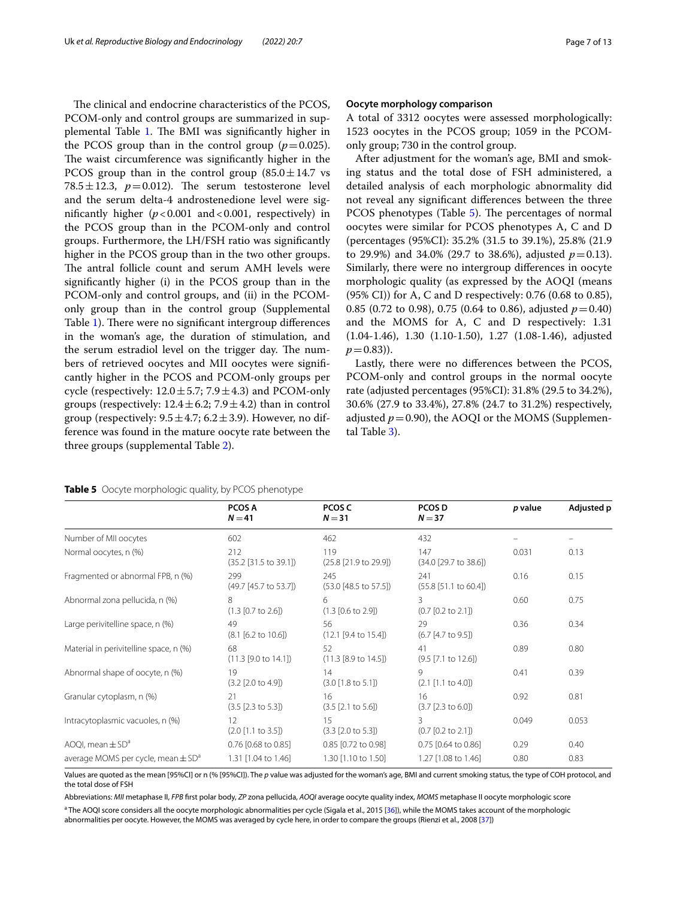The clinical and endocrine characteristics of the PCOS, PCOM-only and control groups are summarized in sup-plemental Table [1](#page-10-14). The BMI was significantly higher in the PCOS group than in the control group  $(p=0.025)$ . The waist circumference was significantly higher in the PCOS group than in the control group  $(85.0 \pm 14.7 \text{ vs }$ 78.5 $\pm$ 12.3,  $p=0.012$ ). The serum testosterone level and the serum delta-4 androstenedione level were significantly higher  $(p < 0.001$  and  $< 0.001$ , respectively) in the PCOS group than in the PCOM-only and control groups. Furthermore, the LH/FSH ratio was signifcantly higher in the PCOS group than in the two other groups. The antral follicle count and serum AMH levels were signifcantly higher (i) in the PCOS group than in the PCOM-only and control groups, and (ii) in the PCOMonly group than in the control group (Supplemental Table [1](#page-10-14)). There were no significant intergroup differences in the woman's age, the duration of stimulation, and the serum estradiol level on the trigger day. The numbers of retrieved oocytes and MII oocytes were signifcantly higher in the PCOS and PCOM-only groups per cycle (respectively:  $12.0 \pm 5.7$ ;  $7.9 \pm 4.3$ ) and PCOM-only groups (respectively:  $12.4 \pm 6.2$ ;  $7.9 \pm 4.2$ ) than in control group (respectively:  $9.5 \pm 4.7$ ;  $6.2 \pm 3.9$ ). However, no difference was found in the mature oocyte rate between the three groups (supplemental Table [2\)](#page-10-14).

#### **Oocyte morphology comparison**

A total of 3312 oocytes were assessed morphologically: 1523 oocytes in the PCOS group; 1059 in the PCOMonly group; 730 in the control group.

After adjustment for the woman's age, BMI and smoking status and the total dose of FSH administered, a detailed analysis of each morphologic abnormality did not reveal any signifcant diferences between the three PCOS phenotypes (Table [5\)](#page-6-0). The percentages of normal oocytes were similar for PCOS phenotypes A, C and D (percentages (95%CI): 35.2% (31.5 to 39.1%), 25.8% (21.9 to 29.9%) and 34.0% (29.7 to 38.6%), adjusted  $p=0.13$ ). Similarly, there were no intergroup diferences in oocyte morphologic quality (as expressed by the AOQI (means (95% CI)) for A, C and D respectively: 0.76 (0.68 to 0.85), 0.85 (0.72 to 0.98), 0.75 (0.64 to 0.86), adjusted  $p=0.40$ ) and the MOMS for A, C and D respectively: 1.31 (1.04-1.46), 1.30 (1.10-1.50), 1.27 (1.08-1.46), adjusted  $p = (0.83)$ .

Lastly, there were no diferences between the PCOS, PCOM-only and control groups in the normal oocyte rate (adjusted percentages (95%CI): 31.8% (29.5 to 34.2%), 30.6% (27.9 to 33.4%), 27.8% (24.7 to 31.2%) respectively, adjusted  $p=0.90$ ), the AOQI or the MOMS (Supplemental Table [3\)](#page-10-14).

|                                                    | <b>PCOS A</b><br>$N = 41$               | PCOS C<br>$N = 31$                      | PCOS D<br>$N = 37$                      | p value | Adjusted p |
|----------------------------------------------------|-----------------------------------------|-----------------------------------------|-----------------------------------------|---------|------------|
| Number of MII oocytes                              | 602                                     | 462                                     | 432                                     |         |            |
| Normal oocytes, n (%)                              | 212<br>$(35.2 [31.5 \text{ to } 39.1])$ | 119<br>(25.8 [21.9 to 29.9])            | 147<br>(34.0 [29.7 to 38.6])            | 0.031   | 0.13       |
| Fragmented or abnormal FPB, n (%)                  | 299<br>(49.7 [45.7 to 53.7])            | 245<br>$(53.0 [48.5 \text{ to } 57.5])$ | 241<br>$(55.8 \; [51.1 \; to \; 60.4])$ | 0.16    | 0.15       |
| Abnormal zona pellucida, n (%)                     | 8<br>(1.3 [0.7 to 2.6])                 | 6<br>(1.3 [0.6 to 2.9])                 | 3<br>(0.7 [0.2 to 2.1])                 | 0.60    | 0.75       |
| Large perivitelline space, n (%)                   | 49<br>(8.1 [6.2 to 10.6])               | 56<br>(12.1 [9.4 to 15.4])              | 29<br>(6.7 [4.7 to 9.5])                | 0.36    | 0.34       |
| Material in perivitelline space, n (%)             | 68<br>(11.3 [9.0 to 14.1])              | 52<br>(11.3 [8.9 to 14.5])              | 41<br>(9.5 [7.1 to 12.6])               | 0.89    | 0.80       |
| Abnormal shape of oocyte, n (%)                    | 19<br>(3.2 [2.0 to 4.9])                | 14<br>(3.0 [1.8 to 5.1])                | 9<br>(2.1 [1.1 to 4.0])                 | 0.41    | 0.39       |
| Granular cytoplasm, n (%)                          | 21<br>(3.5 [2.3 to 5.3])                | 16<br>(3.5 [2.1 to 5.6])                | 16<br>$(3.7 [2.3 \text{ to } 6.0])$     | 0.92    | 0.81       |
| Intracytoplasmic vacuoles, n (%)                   | $12 \overline{ }$<br>(2.0 [1.1 to 3.5]) | 15<br>(3.3 [2.0 to 5.3])                | 3<br>(0.7 [0.2 to 2.1])                 | 0.049   | 0.053      |
| AOQI, mean $\pm$ SD <sup>a</sup>                   | $0.76$ [0.68 to 0.85]                   | 0.85 [0.72 to 0.98]                     | $0.75$ [0.64 to 0.86]                   | 0.29    | 0.40       |
| average MOMS per cycle, mean $\pm$ SD <sup>a</sup> | 1.31 [1.04 to 1.46]                     | 1.30 [1.10 to 1.50]                     | 1.27 [1.08 to 1.46]                     | 0.80    | 0.83       |

#### <span id="page-6-0"></span>**Table 5** Oocyte morphologic quality, by PCOS phenotype

Values are quoted as the mean [95%CI] or n (% [95%CI]). The *p* value was adjusted for the woman's age, BMI and current smoking status, the type of COH protocol, and the total dose of FSH

Abbreviations: *MII* metaphase II, *FPB* frst polar body, *ZP* zona pellucida, *AOQI* average oocyte quality index, *MOMS* metaphase II oocyte morphologic score

<sup>a</sup> The AOQI score considers all the oocyte morphologic abnormalities per cycle (Sigala et al., 2015 [\[36\]](#page-11-18)), while the MOMS takes account of the morphologic abnormalities per oocyte. However, the MOMS was averaged by cycle here, in order to compare the groups (Rienzi et al., 2008 [\[37\]](#page-11-19))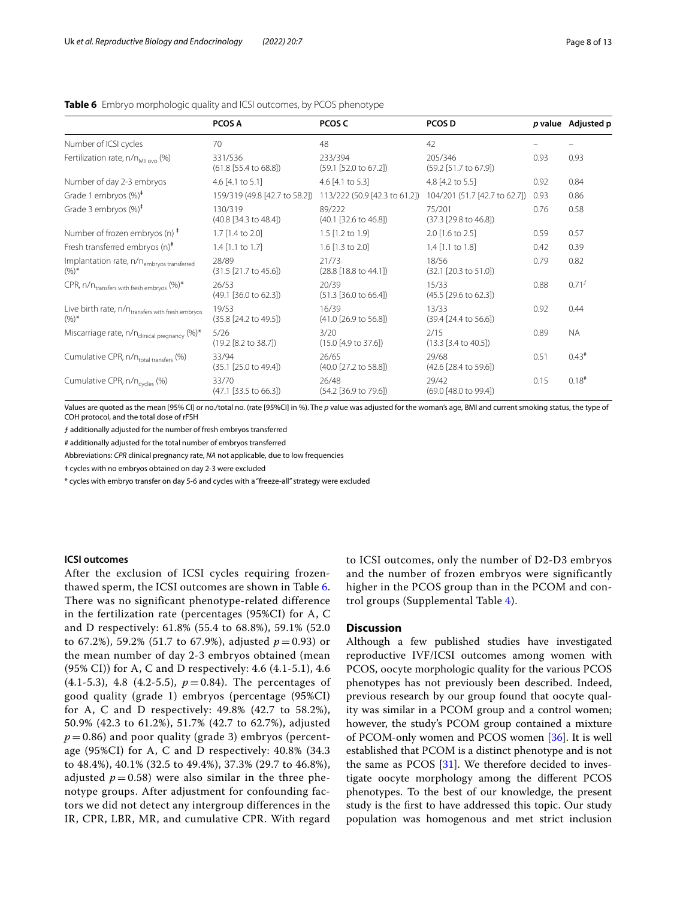|                                                                          | <b>PCOS A</b>                             | PCOS C                                                      | <b>PCOS D</b>                    |      | p value Adjusted p |
|--------------------------------------------------------------------------|-------------------------------------------|-------------------------------------------------------------|----------------------------------|------|--------------------|
| Number of ICSI cycles                                                    | 70                                        | 48                                                          | 42                               |      |                    |
| Fertilization rate, $n/n_{\text{MII}}$ (%)                               | 331/536<br>(61.8 [55.4 to 68.8])          | 233/394<br>(59.1 [52.0 to 67.2])                            | 205/346<br>(59.2 [51.7 to 67.9]) | 0.93 | 0.93               |
| Number of day 2-3 embryos                                                | 4.6 $[4.1 \text{ to } 5.1]$               | 4.6 $[4.1 \text{ to } 5.3]$                                 | 4.8 [4.2 to 5.5]                 | 0.92 | 0.84               |
| Grade 1 embryos $(\%)^*$                                                 |                                           | 159/319 (49.8 [42.7 to 58.2]) 113/222 (50.9 [42.3 to 61.2]) | 104/201 (51.7 [42.7 to 62.7])    | 0.93 | 0.86               |
| Grade 3 embryos $(\%)^*$                                                 | 130/319<br>(40.8 [34.3 to 48.4])          | 89/222<br>(40.1 [32.6 to 46.8])                             | 75/201<br>(37.3 [29.8 to 46.8])  | 0.76 | 0.58               |
| Number of frozen embryos (n) $*$                                         | 1.7 [1.4 to 2.0]                          | $1.5$ [1.2 to 1.9]                                          | $2.0$ [1.6 to 2.5]               | 0.59 | 0.57               |
| Fresh transferred embryos $(n)^*$                                        | $1.4$ [1.1 to 1.7]                        | $1.6$ [1.3 to 2.0]                                          | $1.4$ [1.1 to 1.8]               | 0.42 | 0.39               |
| Implantation rate, n/n <sub>embryos transferred</sub><br>$(%)^*$         | 28/89<br>(31.5 [21.7 to 45.6])            | 21/73<br>(28.8 [18.8 to 44.1])                              | 18/56<br>(32.1 [20.3 to 51.0])   | 0.79 | 0.82               |
| CPR, n/n <sub>transfers with fresh embryos</sub> (%)*                    | 26/53<br>(49.1 [36.0 to 62.3])            | 20/39<br>(51.3 [36.0 to 66.4])                              | 15/33<br>(45.5 [29.6 to 62.3])   | 0.88 | $0.71^{f}$         |
| Live birth rate, n/n <sub>transfers</sub> with fresh embryos<br>$(96)^*$ | 19/53<br>(35.8 [24.2 to 49.5])            | 16/39<br>(41.0 [26.9 to 56.8])                              | 13/33<br>(39.4 [24.4 to 56.6])   | 0.92 | 0.44               |
| Miscarriage rate, n/n <sub>clinical pregnancy</sub> (%)*                 | 5/26<br>(19.2 [8.2 to 38.7])              | 3/20<br>(15.0 [4.9 to 37.6])                                | 2/15<br>(13.3 [3.4 to 40.5])     | 0.89 | <b>NA</b>          |
| Cumulative CPR, n/n <sub>total transfers</sub> (%)                       | 33/94<br>(35.1 [25.0 to 49.4])            | 26/65<br>(40.0 [27.2 to 58.8])                              | 29/68<br>(42.6 [28.4 to 59.6])   | 0.51 | $0.43*$            |
| Cumulative CPR, n/n <sub>cycles</sub> (%)                                | 33/70<br>$(47.1 [33.5 \text{ to } 66.3])$ | 26/48<br>(54.2 [36.9 to 79.6])                              | 29/42<br>(69.0 [48.0 to 99.4])   | 0.15 | $0.18^{#}$         |

#### <span id="page-7-0"></span>**Table 6** Embryo morphologic quality and ICSI outcomes, by PCOS phenotype

Values are quoted as the mean [95% CI] or no./total no. (rate [95%CI] in %). The *p* value was adjusted for the woman's age, BMI and current smoking status, the type of COH protocol, and the total dose of rFSH

ƒ additionally adjusted for the number of fresh embryos transferred

# additionally adjusted for the total number of embryos transferred

Abbreviations: *CPR* clinical pregnancy rate, *NA* not applicable, due to low frequencies

ǂ cycles with no embryos obtained on day 2-3 were excluded

\* cycles with embryo transfer on day 5-6 and cycles with a "freeze-all" strategy were excluded

#### **ICSI outcomes**

After the exclusion of ICSI cycles requiring frozenthawed sperm, the ICSI outcomes are shown in Table [6](#page-7-0). There was no significant phenotype-related difference in the fertilization rate (percentages (95%CI) for A, C and D respectively: 61.8% (55.4 to 68.8%), 59.1% (52.0 to 67.2%), 59.2% (51.7 to 67.9%), adjusted  $p = 0.93$ ) or the mean number of day 2-3 embryos obtained (mean (95% CI)) for A, C and D respectively: 4.6 (4.1-5.1), 4.6  $(4.1-5.3)$ , 4.8  $(4.2-5.5)$ ,  $p=0.84$ ). The percentages of good quality (grade 1) embryos (percentage (95%CI) for A, C and D respectively: 49.8% (42.7 to 58.2%), 50.9% (42.3 to 61.2%), 51.7% (42.7 to 62.7%), adjusted  $p = 0.86$ ) and poor quality (grade 3) embryos (percentage (95%CI) for A, C and D respectively: 40.8% (34.3 to 48.4%), 40.1% (32.5 to 49.4%), 37.3% (29.7 to 46.8%), adjusted  $p = 0.58$ ) were also similar in the three phenotype groups. After adjustment for confounding factors we did not detect any intergroup differences in the IR, CPR, LBR, MR, and cumulative CPR. With regard to ICSI outcomes, only the number of D2-D3 embryos and the number of frozen embryos were significantly higher in the PCOS group than in the PCOM and control groups (Supplemental Table [4\)](#page-10-14).

#### **Discussion**

Although a few published studies have investigated reproductive IVF/ICSI outcomes among women with PCOS, oocyte morphologic quality for the various PCOS phenotypes has not previously been described. Indeed, previous research by our group found that oocyte quality was similar in a PCOM group and a control women; however, the study's PCOM group contained a mixture of PCOM-only women and PCOS women [\[36](#page-11-18)]. It is well established that PCOM is a distinct phenotype and is not the same as PCOS [[31](#page-11-13)]. We therefore decided to investigate oocyte morphology among the diferent PCOS phenotypes. To the best of our knowledge, the present study is the frst to have addressed this topic. Our study population was homogenous and met strict inclusion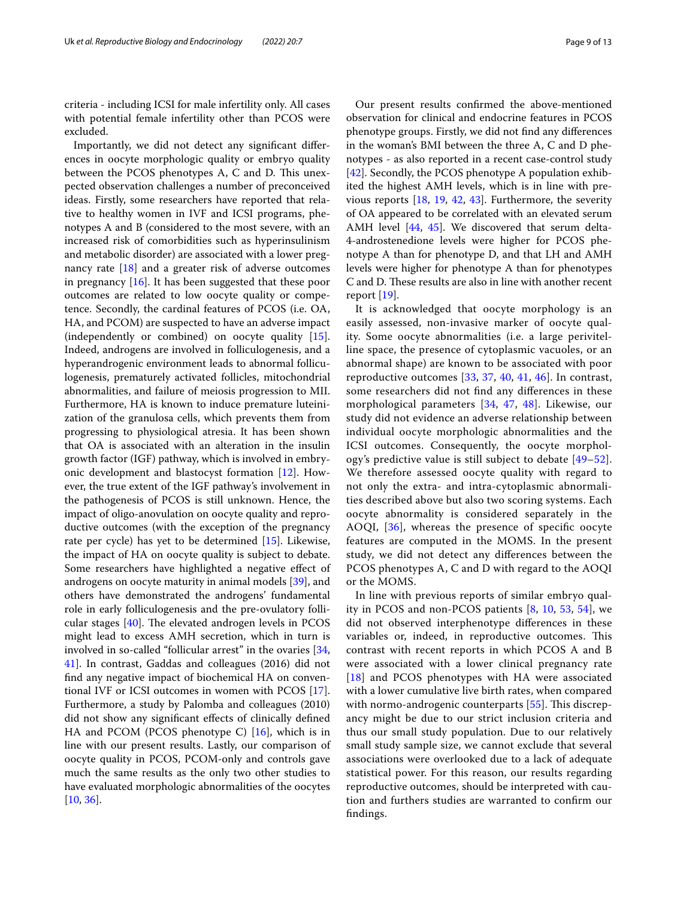criteria - including ICSI for male infertility only. All cases with potential female infertility other than PCOS were excluded.

Importantly, we did not detect any signifcant diferences in oocyte morphologic quality or embryo quality between the PCOS phenotypes A, C and D. This unexpected observation challenges a number of preconceived ideas. Firstly, some researchers have reported that relative to healthy women in IVF and ICSI programs, phenotypes A and B (considered to the most severe, with an increased risk of comorbidities such as hyperinsulinism and metabolic disorder) are associated with a lower pregnancy rate [\[18\]](#page-11-1) and a greater risk of adverse outcomes in pregnancy [[16\]](#page-10-13). It has been suggested that these poor outcomes are related to low oocyte quality or competence. Secondly, the cardinal features of PCOS (i.e. OA, HA, and PCOM) are suspected to have an adverse impact (independently or combined) on oocyte quality [\[15](#page-10-12)]. Indeed, androgens are involved in folliculogenesis, and a hyperandrogenic environment leads to abnormal folliculogenesis, prematurely activated follicles, mitochondrial abnormalities, and failure of meiosis progression to MII. Furthermore, HA is known to induce premature luteinization of the granulosa cells, which prevents them from progressing to physiological atresia. It has been shown that OA is associated with an alteration in the insulin growth factor (IGF) pathway, which is involved in embryonic development and blastocyst formation [[12\]](#page-10-8). However, the true extent of the IGF pathway's involvement in the pathogenesis of PCOS is still unknown. Hence, the impact of oligo-anovulation on oocyte quality and reproductive outcomes (with the exception of the pregnancy rate per cycle) has yet to be determined [[15\]](#page-10-12). Likewise, the impact of HA on oocyte quality is subject to debate. Some researchers have highlighted a negative efect of androgens on oocyte maturity in animal models [[39\]](#page-11-21), and others have demonstrated the androgens' fundamental role in early folliculogenesis and the pre-ovulatory follicular stages  $[40]$  $[40]$ . The elevated androgen levels in PCOS might lead to excess AMH secretion, which in turn is involved in so-called "follicular arrest" in the ovaries [\[34](#page-11-16), [41\]](#page-11-23). In contrast, Gaddas and colleagues (2016) did not fnd any negative impact of biochemical HA on conventional IVF or ICSI outcomes in women with PCOS [\[17](#page-11-24)]. Furthermore, a study by Palomba and colleagues (2010) did not show any signifcant efects of clinically defned HA and PCOM (PCOS phenotype C) [\[16](#page-10-13)], which is in line with our present results. Lastly, our comparison of oocyte quality in PCOS, PCOM-only and controls gave much the same results as the only two other studies to have evaluated morphologic abnormalities of the oocytes [[10,](#page-10-9) [36](#page-11-18)].

Our present results confrmed the above-mentioned observation for clinical and endocrine features in PCOS phenotype groups. Firstly, we did not fnd any diferences in the woman's BMI between the three A, C and D phenotypes - as also reported in a recent case-control study [[42\]](#page-11-25). Secondly, the PCOS phenotype A population exhibited the highest AMH levels, which is in line with previous reports [\[18](#page-11-1), [19,](#page-11-0) [42](#page-11-25), [43](#page-11-26)]. Furthermore, the severity of OA appeared to be correlated with an elevated serum AMH level [[44,](#page-11-27) [45\]](#page-11-28). We discovered that serum delta-4-androstenedione levels were higher for PCOS phenotype A than for phenotype D, and that LH and AMH levels were higher for phenotype A than for phenotypes C and D. These results are also in line with another recent report [\[19\]](#page-11-0).

It is acknowledged that oocyte morphology is an easily assessed, non-invasive marker of oocyte quality. Some oocyte abnormalities (i.e. a large perivitelline space, the presence of cytoplasmic vacuoles, or an abnormal shape) are known to be associated with poor reproductive outcomes [[33](#page-11-15), [37,](#page-11-19) [40,](#page-11-22) [41](#page-11-23), [46\]](#page-11-29). In contrast, some researchers did not fnd any diferences in these morphological parameters [[34](#page-11-16), [47](#page-11-30), [48](#page-11-31)]. Likewise, our study did not evidence an adverse relationship between individual oocyte morphologic abnormalities and the ICSI outcomes. Consequently, the oocyte morphology's predictive value is still subject to debate [[49–](#page-11-32)[52](#page-11-33)]. We therefore assessed oocyte quality with regard to not only the extra- and intra-cytoplasmic abnormalities described above but also two scoring systems. Each oocyte abnormality is considered separately in the AOQI, [\[36\]](#page-11-18), whereas the presence of specifc oocyte features are computed in the MOMS. In the present study, we did not detect any diferences between the PCOS phenotypes A, C and D with regard to the AOQI or the MOMS.

In line with previous reports of similar embryo quality in PCOS and non-PCOS patients [[8,](#page-10-6) [10](#page-10-9), [53,](#page-11-34) [54](#page-11-35)], we did not observed interphenotype diferences in these variables or, indeed, in reproductive outcomes. This contrast with recent reports in which PCOS A and B were associated with a lower clinical pregnancy rate [[18](#page-11-1)] and PCOS phenotypes with HA were associated with a lower cumulative live birth rates, when compared with normo-androgenic counterparts [\[55](#page-11-36)]. This discrepancy might be due to our strict inclusion criteria and thus our small study population. Due to our relatively small study sample size, we cannot exclude that several associations were overlooked due to a lack of adequate statistical power. For this reason, our results regarding reproductive outcomes, should be interpreted with caution and furthers studies are warranted to confrm our fndings.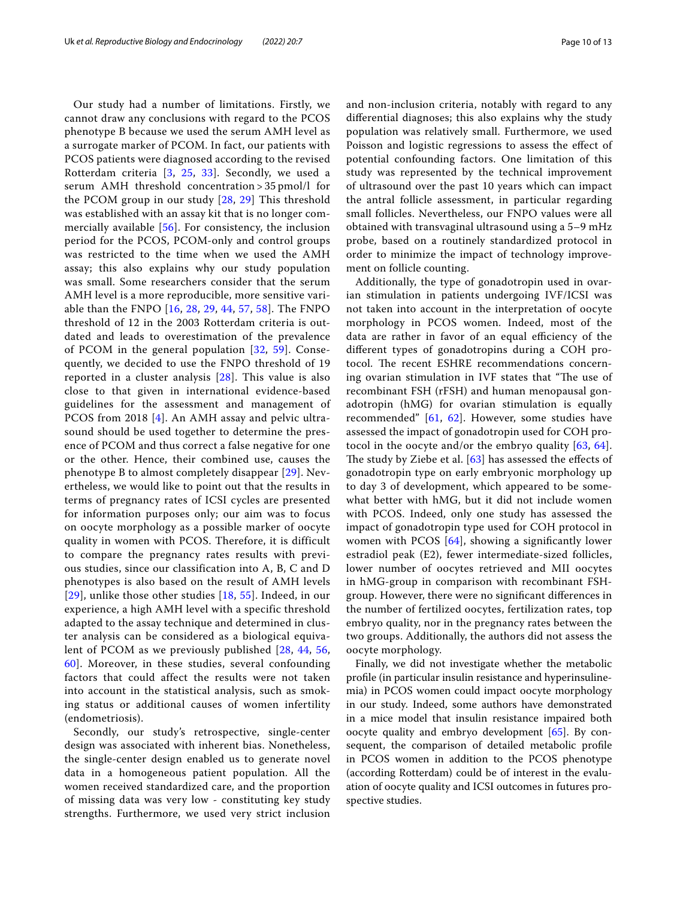Our study had a number of limitations. Firstly, we cannot draw any conclusions with regard to the PCOS phenotype B because we used the serum AMH level as a surrogate marker of PCOM. In fact, our patients with PCOS patients were diagnosed according to the revised Rotterdam criteria [[3](#page-10-15), [25,](#page-11-7) [33\]](#page-11-15). Secondly, we used a serum AMH threshold concentration > 35 pmol/l for the PCOM group in our study [[28](#page-11-10), [29](#page-11-11)] This threshold was established with an assay kit that is no longer commercially available [[56](#page-11-37)]. For consistency, the inclusion period for the PCOS, PCOM-only and control groups was restricted to the time when we used the AMH assay; this also explains why our study population was small. Some researchers consider that the serum AMH level is a more reproducible, more sensitive variable than the FNPO [\[16,](#page-10-13) [28,](#page-11-10) [29](#page-11-11), [44,](#page-11-27) [57](#page-12-0), [58\]](#page-12-1). The FNPO threshold of 12 in the 2003 Rotterdam criteria is outdated and leads to overestimation of the prevalence of PCOM in the general population [\[32,](#page-11-14) [59](#page-12-2)]. Consequently, we decided to use the FNPO threshold of 19 reported in a cluster analysis [[28](#page-11-10)]. This value is also close to that given in international evidence-based guidelines for the assessment and management of PCOS from 2018 [[4\]](#page-10-2). An AMH assay and pelvic ultrasound should be used together to determine the presence of PCOM and thus correct a false negative for one or the other. Hence, their combined use, causes the phenotype B to almost completely disappear [[29](#page-11-11)]. Nevertheless, we would like to point out that the results in terms of pregnancy rates of ICSI cycles are presented for information purposes only; our aim was to focus on oocyte morphology as a possible marker of oocyte quality in women with PCOS. Therefore, it is difficult to compare the pregnancy rates results with previous studies, since our classification into A, B, C and D phenotypes is also based on the result of AMH levels  $[29]$  $[29]$  $[29]$ , unlike those other studies  $[18, 55]$  $[18, 55]$  $[18, 55]$  $[18, 55]$  $[18, 55]$ . Indeed, in our experience, a high AMH level with a specific threshold adapted to the assay technique and determined in cluster analysis can be considered as a biological equivalent of PCOM as we previously published [[28](#page-11-10), [44](#page-11-27), [56](#page-11-37), [60\]](#page-12-3). Moreover, in these studies, several confounding factors that could affect the results were not taken into account in the statistical analysis, such as smoking status or additional causes of women infertility (endometriosis).

Secondly, our study's retrospective, single-center design was associated with inherent bias. Nonetheless, the single-center design enabled us to generate novel data in a homogeneous patient population. All the women received standardized care, and the proportion of missing data was very low - constituting key study strengths. Furthermore, we used very strict inclusion and non-inclusion criteria, notably with regard to any diferential diagnoses; this also explains why the study population was relatively small. Furthermore, we used Poisson and logistic regressions to assess the efect of potential confounding factors. One limitation of this study was represented by the technical improvement of ultrasound over the past 10 years which can impact the antral follicle assessment, in particular regarding small follicles. Nevertheless, our FNPO values were all obtained with transvaginal ultrasound using a 5–9 mHz probe, based on a routinely standardized protocol in order to minimize the impact of technology improvement on follicle counting.

Additionally, the type of gonadotropin used in ovarian stimulation in patients undergoing IVF/ICSI was not taken into account in the interpretation of oocyte morphology in PCOS women. Indeed, most of the data are rather in favor of an equal efficiency of the diferent types of gonadotropins during a COH protocol. The recent ESHRE recommendations concerning ovarian stimulation in IVF states that "The use of recombinant FSH (rFSH) and human menopausal gonadotropin (hMG) for ovarian stimulation is equally recommended" [[61](#page-12-4), [62](#page-12-5)]. However, some studies have assessed the impact of gonadotropin used for COH protocol in the oocyte and/or the embryo quality [\[63](#page-12-6), [64](#page-12-7)]. The study by Ziebe et al.  $[63]$  $[63]$  has assessed the effects of gonadotropin type on early embryonic morphology up to day 3 of development, which appeared to be somewhat better with hMG, but it did not include women with PCOS. Indeed, only one study has assessed the impact of gonadotropin type used for COH protocol in women with PCOS [\[64\]](#page-12-7), showing a significantly lower estradiol peak (E2), fewer intermediate-sized follicles, lower number of oocytes retrieved and MII oocytes in hMG-group in comparison with recombinant FSHgroup. However, there were no signifcant diferences in the number of fertilized oocytes, fertilization rates, top embryo quality, nor in the pregnancy rates between the two groups. Additionally, the authors did not assess the oocyte morphology.

Finally, we did not investigate whether the metabolic profle (in particular insulin resistance and hyperinsulinemia) in PCOS women could impact oocyte morphology in our study. Indeed, some authors have demonstrated in a mice model that insulin resistance impaired both oocyte quality and embryo development [\[65](#page-12-8)]. By consequent, the comparison of detailed metabolic profle in PCOS women in addition to the PCOS phenotype (according Rotterdam) could be of interest in the evaluation of oocyte quality and ICSI outcomes in futures prospective studies.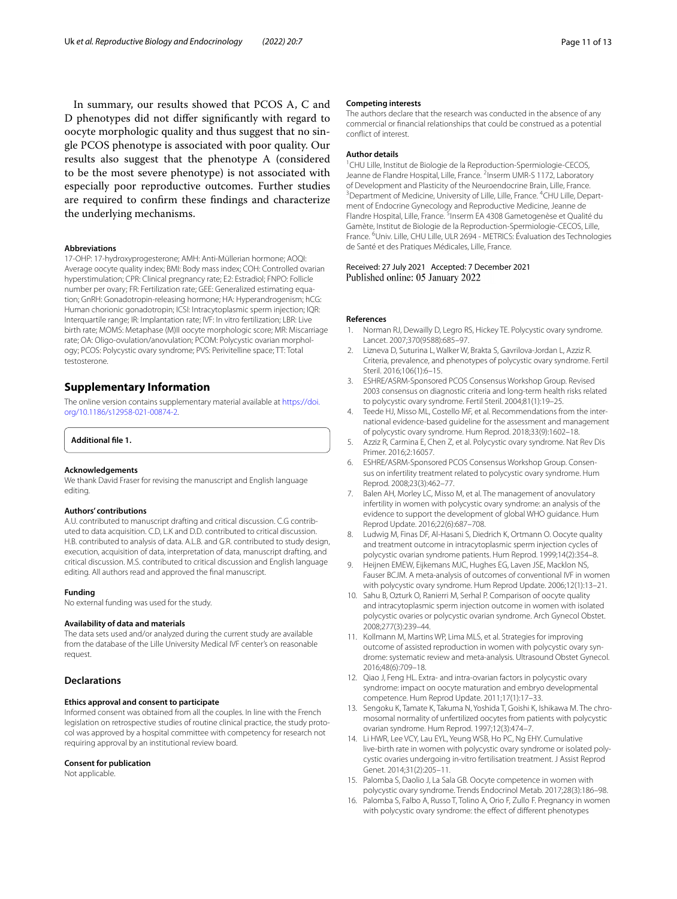In summary, our results showed that PCOS A, C and D phenotypes did not difer signifcantly with regard to oocyte morphologic quality and thus suggest that no single PCOS phenotype is associated with poor quality. Our results also suggest that the phenotype A (considered to be the most severe phenotype) is not associated with especially poor reproductive outcomes. Further studies are required to confrm these fndings and characterize the underlying mechanisms.

#### **Abbreviations**

17-OHP: 17-hydroxyprogesterone; AMH: Anti-Müllerian hormone; AOQI: Average oocyte quality index; BMI: Body mass index; COH: Controlled ovarian hyperstimulation; CPR: Clinical pregnancy rate; E2: Estradiol; FNPO: Follicle number per ovary; FR: Fertilization rate; GEE: Generalized estimating equation; GnRH: Gonadotropin-releasing hormone; HA: Hyperandrogenism; hCG: Human chorionic gonadotropin; ICSI: Intracytoplasmic sperm injection; IQR: Interquartile range; IR: Implantation rate; IVF: In vitro fertilization; LBR: Live birth rate; MOMS: Metaphase (M)II oocyte morphologic score; MR: Miscarriage rate; OA: Oligo-ovulation/anovulation; PCOM: Polycystic ovarian morphology; PCOS: Polycystic ovary syndrome; PVS: Perivitelline space; TT: Total testosterone.

#### **Supplementary Information**

The online version contains supplementary material available at [https://doi.](https://doi.org/10.1186/s12958-021-00874-2) [org/10.1186/s12958-021-00874-2](https://doi.org/10.1186/s12958-021-00874-2).

#### <span id="page-10-14"></span>**Additional fle 1.**

#### **Acknowledgements**

We thank David Fraser for revising the manuscript and English language editing.

#### **Authors' contributions**

A.U. contributed to manuscript drafting and critical discussion. C.G contributed to data acquisition. C.D, L.K and D.D. contributed to critical discussion. H.B. contributed to analysis of data. A.L.B. and G.R. contributed to study design, execution, acquisition of data, interpretation of data, manuscript drafting, and critical discussion. M.S. contributed to critical discussion and English language editing. All authors read and approved the fnal manuscript.

#### **Funding**

No external funding was used for the study.

#### **Availability of data and materials**

The data sets used and/or analyzed during the current study are available from the database of the Lille University Medical IVF center's on reasonable request.

#### **Declarations**

#### **Ethics approval and consent to participate**

Informed consent was obtained from all the couples. In line with the French legislation on retrospective studies of routine clinical practice, the study protocol was approved by a hospital committee with competency for research not requiring approval by an institutional review board.

#### **Consent for publication**

Not applicable.

#### **Competing interests**

The authors declare that the research was conducted in the absence of any commercial or fnancial relationships that could be construed as a potential confict of interest.

#### **Author details**

<sup>1</sup> CHU Lille, Institut de Biologie de la Reproduction-Spermiologie-CECOS, Jeanne de Flandre Hospital, Lille, France. <sup>2</sup>Inserm UMR-S 1172, Laboratory of Development and Plasticity of the Neuroendocrine Brain, Lille, France. Department of Medicine, University of Lille, Lille, France. <sup>4</sup>CHU Lille, Department of Endocrine Gynecology and Reproductive Medicine, Jeanne de Flandre Hospital, Lille, France. <sup>5</sup>Inserm EA 4308 Gametogenèse et Qualité du Gamète, Institut de Biologie de la Reproduction-Spermiologie-CECOS, Lille, France. <sup>6</sup>Univ. Lille, CHU Lille, ULR 2694 - METRICS: Évaluation des Technologies de Santé et des Pratiques Médicales, Lille, France.

#### Received: 27 July 2021 Accepted: 7 December 2021 Published online: 05 January 2022

#### **References**

- <span id="page-10-0"></span>1. Norman RJ, Dewailly D, Legro RS, Hickey TE. Polycystic ovary syndrome. Lancet. 2007;370(9588):685–97.
- <span id="page-10-1"></span>2. Lizneva D, Suturina L, Walker W, Brakta S, Gavrilova-Jordan L, Azziz R. Criteria, prevalence, and phenotypes of polycystic ovary syndrome. Fertil Steril. 2016;106(1):6–15.
- <span id="page-10-15"></span>3. ESHRE/ASRM-Sponsored PCOS Consensus Workshop Group. Revised 2003 consensus on diagnostic criteria and long-term health risks related to polycystic ovary syndrome. Fertil Steril. 2004;81(1):19–25.
- <span id="page-10-2"></span>4. Teede HJ, Misso ML, Costello MF, et al. Recommendations from the international evidence-based guideline for the assessment and management of polycystic ovary syndrome. Hum Reprod. 2018;33(9):1602–18.
- <span id="page-10-3"></span>5. Azziz R, Carmina E, Chen Z, et al. Polycystic ovary syndrome. Nat Rev Dis Primer. 2016;2:16057.
- <span id="page-10-4"></span>6. ESHRE/ASRM-Sponsored PCOS Consensus Workshop Group. Consen‑ sus on infertility treatment related to polycystic ovary syndrome. Hum Reprod. 2008;23(3):462–77.
- <span id="page-10-5"></span>7. Balen AH, Morley LC, Misso M, et al. The management of anovulatory infertility in women with polycystic ovary syndrome: an analysis of the evidence to support the development of global WHO guidance. Hum Reprod Update. 2016;22(6):687–708.
- <span id="page-10-6"></span>8. Ludwig M, Finas DF, Al-Hasani S, Diedrich K, Ortmann O. Oocyte quality and treatment outcome in intracytoplasmic sperm injection cycles of polycystic ovarian syndrome patients. Hum Reprod. 1999;14(2):354–8.
- 9. Heijnen EMEW, Eijkemans MJC, Hughes EG, Laven JSE, Macklon NS, Fauser BCJM. A meta-analysis of outcomes of conventional IVF in women with polycystic ovary syndrome. Hum Reprod Update. 2006;12(1):13–21.
- <span id="page-10-9"></span>10. Sahu B, Ozturk O, Ranierri M, Serhal P. Comparison of oocyte quality and intracytoplasmic sperm injection outcome in women with isolated polycystic ovaries or polycystic ovarian syndrome. Arch Gynecol Obstet. 2008;277(3):239–44.
- <span id="page-10-7"></span>11. Kollmann M, Martins WP, Lima MLS, et al. Strategies for improving outcome of assisted reproduction in women with polycystic ovary syndrome: systematic review and meta-analysis. Ultrasound Obstet Gynecol. 2016;48(6):709–18.
- <span id="page-10-8"></span>12. Qiao J, Feng HL. Extra- and intra-ovarian factors in polycystic ovary syndrome: impact on oocyte maturation and embryo developmental competence. Hum Reprod Update. 2011;17(1):17–33.
- <span id="page-10-10"></span>13. Sengoku K, Tamate K, Takuma N, Yoshida T, Goishi K, Ishikawa M. The chromosomal normality of unfertilized oocytes from patients with polycystic ovarian syndrome. Hum Reprod. 1997;12(3):474–7.
- <span id="page-10-11"></span>14. Li HWR, Lee VCY, Lau EYL, Yeung WSB, Ho PC, Ng EHY. Cumulative live-birth rate in women with polycystic ovary syndrome or isolated polycystic ovaries undergoing in-vitro fertilisation treatment. J Assist Reprod Genet. 2014;31(2):205–11.
- <span id="page-10-12"></span>15. Palomba S, Daolio J, La Sala GB. Oocyte competence in women with polycystic ovary syndrome. Trends Endocrinol Metab. 2017;28(3):186–98.
- <span id="page-10-13"></span>16. Palomba S, Falbo A, Russo T, Tolino A, Orio F, Zullo F. Pregnancy in women with polycystic ovary syndrome: the efect of diferent phenotypes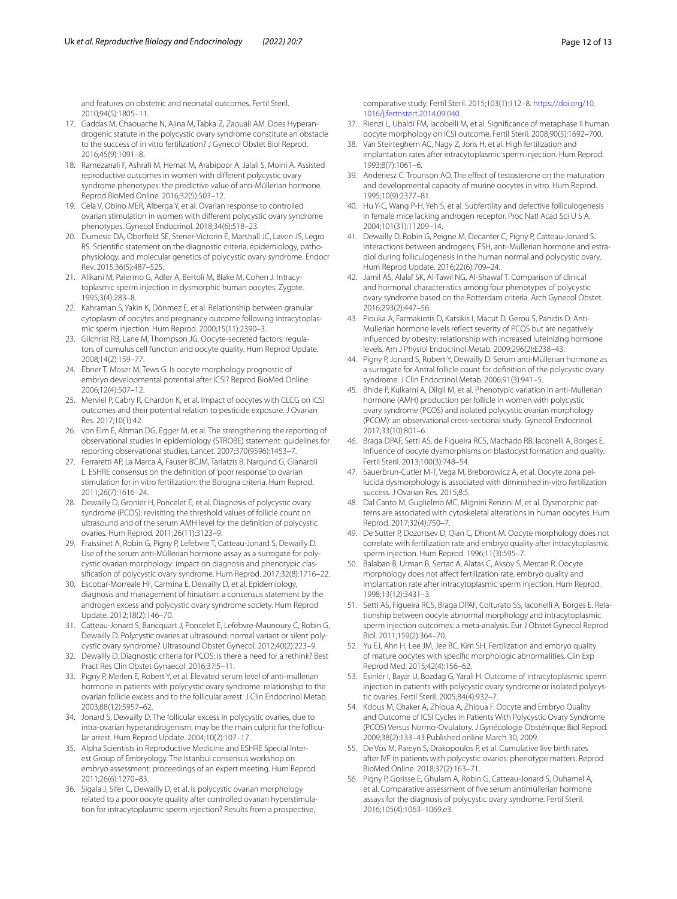and features on obstetric and neonatal outcomes. Fertil Steril. 2010;94(5):1805–11.

- <span id="page-11-24"></span>17. Gaddas M, Chaouache N, Ajina M, Tabka Z, Zaouali AM. Does Hyperandrogenic statute in the polycystic ovary syndrome constitute an obstacle to the success of in vitro fertilization? J Gynecol Obstet Biol Reprod. 2016;45(9):1091–8.
- <span id="page-11-1"></span>18. Ramezanali F, Ashraf M, Hemat M, Arabipoor A, Jalali S, Moini A. Assisted reproductive outcomes in women with diferent polycystic ovary syndrome phenotypes: the predictive value of anti-Müllerian hormone. Reprod BioMed Online. 2016;32(5):503–12.
- <span id="page-11-0"></span>19. Cela V, Obino MER, Alberga Y, et al. Ovarian response to controlled ovarian stimulation in women with diferent polycystic ovary syndrome phenotypes. Gynecol Endocrinol. 2018;34(6):518–23.
- <span id="page-11-2"></span>20. Dumesic DA, Oberfeld SE, Stener-Victorin E, Marshall JC, Laven JS, Legro RS. Scientific statement on the diagnostic criteria, epidemiology, pathophysiology, and molecular genetics of polycystic ovary syndrome. Endocr Rev. 2015;36(5):487–525.
- <span id="page-11-3"></span>21. Alikani M, Palermo G, Adler A, Bertoli M, Blake M, Cohen J. Intracytoplasmic sperm injection in dysmorphic human oocytes. Zygote. 1995;3(4):283–8.
- <span id="page-11-4"></span>22. Kahraman S, Yakin K, Dönmez E, et al. Relationship between granular cytoplasm of oocytes and pregnancy outcome following intracytoplasmic sperm injection. Hum Reprod. 2000;15(11):2390–3.
- <span id="page-11-5"></span>23. Gilchrist RB, Lane M, Thompson JG. Oocyte-secreted factors: regulators of cumulus cell function and oocyte quality. Hum Reprod Update. 2008;14(2):159–77.
- <span id="page-11-6"></span>24. Ebner T, Moser M, Tews G. Is oocyte morphology prognostic of embryo developmental potential after ICSI? Reprod BioMed Online. 2006;12(4):507–12.
- <span id="page-11-7"></span>25. Merviel P, Cabry R, Chardon K, et al. Impact of oocytes with CLCG on ICSI outcomes and their potential relation to pesticide exposure. J Ovarian Res. 2017;10(1):42.
- <span id="page-11-8"></span>26. von Elm E, Altman DG, Egger M, et al. The strengthening the reporting of observational studies in epidemiology (STROBE) statement: guidelines for reporting observational studies. Lancet. 2007;370(9596):1453–7.
- <span id="page-11-9"></span>27. Ferraretti AP, La Marca A, Fauser BCJM, Tarlatzis B, Nargund G, Gianaroli L. ESHRE consensus on the defnition of 'poor response' to ovarian stimulation for in vitro fertilization: the Bologna criteria. Hum Reprod. 2011;26(7):1616–24.
- <span id="page-11-10"></span>28. Dewailly D, Gronier H, Poncelet E, et al. Diagnosis of polycystic ovary syndrome (PCOS): revisiting the threshold values of follicle count on ultrasound and of the serum AMH level for the defnition of polycystic ovaries. Hum Reprod. 2011;26(11):3123–9.
- <span id="page-11-11"></span>29. Fraissinet A, Robin G, Pigny P, Lefebvre T, Catteau-Jonard S, Dewailly D. Use of the serum anti-Müllerian hormone assay as a surrogate for polycystic ovarian morphology: impact on diagnosis and phenotypic classifcation of polycystic ovary syndrome. Hum Reprod. 2017;32(8):1716–22.
- <span id="page-11-12"></span>30. Escobar-Morreale HF, Carmina E, Dewailly D, et al. Epidemiology, diagnosis and management of hirsutism: a consensus statement by the androgen excess and polycystic ovary syndrome society. Hum Reprod Update. 2012;18(2):146–70.
- <span id="page-11-13"></span>31. Catteau-Jonard S, Bancquart J, Poncelet E, Lefebvre-Maunoury C, Robin G, Dewailly D. Polycystic ovaries at ultrasound: normal variant or silent polycystic ovary syndrome? Ultrasound Obstet Gynecol. 2012;40(2):223–9.
- <span id="page-11-14"></span>32. Dewailly D. Diagnostic criteria for PCOS: is there a need for a rethink? Best Pract Res Clin Obstet Gynaecol. 2016;37:5–11.
- <span id="page-11-15"></span>33. Pigny P, Merlen E, Robert Y, et al. Elevated serum level of anti-mullerian hormone in patients with polycystic ovary syndrome: relationship to the ovarian follicle excess and to the follicular arrest. J Clin Endocrinol Metab. 2003;88(12):5957–62.
- <span id="page-11-16"></span>34. Jonard S, Dewailly D. The follicular excess in polycystic ovaries, due to intra-ovarian hyperandrogenism, may be the main culprit for the follicular arrest. Hum Reprod Update. 2004;10(2):107–17.
- <span id="page-11-17"></span>35. Alpha Scientists in Reproductive Medicine and ESHRE Special Interest Group of Embryology. The Istanbul consensus workshop on embryo assessment: proceedings of an expert meeting. Hum Reprod. 2011;26(6):1270–83.
- <span id="page-11-18"></span>36. Sigala J, Sifer C, Dewailly D, et al. Is polycystic ovarian morphology related to a poor oocyte quality after controlled ovarian hyperstimulation for intracytoplasmic sperm injection? Results from a prospective,

comparative study. Fertil Steril. 2015;103(1):112–8. [https://doi.org/10.](https://doi.org/10.1016/j.fertnstert.2014.09.040) [1016/j.fertnstert.2014.09.040](https://doi.org/10.1016/j.fertnstert.2014.09.040).

- <span id="page-11-19"></span>37. Rienzi L, Ubaldi FM, Iacobelli M, et al. Signifcance of metaphase II human oocyte morphology on ICSI outcome. Fertil Steril. 2008;90(5):1692–700.
- <span id="page-11-20"></span>38. Van Steirteghem AC, Nagy Z, Joris H, et al. High fertilization and implantation rates after intracytoplasmic sperm injection. Hum Reprod. 1993;8(7):1061–6.
- <span id="page-11-21"></span>39. Anderiesz C, Trounson AO. The effect of testosterone on the maturation and developmental capacity of murine oocytes in vitro. Hum Reprod. 1995;10(9):2377–81.
- <span id="page-11-22"></span>40. Hu Y-C, Wang P-H, Yeh S, et al. Subfertility and defective folliculogenesis in female mice lacking androgen receptor. Proc Natl Acad Sci U S A. 2004;101(31):11209–14.
- <span id="page-11-23"></span>41. Dewailly D, Robin G, Peigne M, Decanter C, Pigny P, Catteau-Jonard S. Interactions between androgens, FSH, anti-Müllerian hormone and estradiol during folliculogenesis in the human normal and polycystic ovary. Hum Reprod Update. 2016;22(6):709–24.
- <span id="page-11-25"></span>42. Jamil AS, Alalaf SK, Al-Tawil NG, Al-Shawaf T. Comparison of clinical and hormonal characteristics among four phenotypes of polycystic ovary syndrome based on the Rotterdam criteria. Arch Gynecol Obstet. 2016;293(2):447–56.
- <span id="page-11-26"></span>43. Piouka A, Farmakiotis D, Katsikis I, Macut D, Gerou S, Panidis D. Anti-Mullerian hormone levels refect severity of PCOS but are negatively infuenced by obesity: relationship with increased luteinizing hormone levels. Am J Physiol Endocrinol Metab. 2009;296(2):E238–43.
- <span id="page-11-27"></span>44. Pigny P, Jonard S, Robert Y, Dewailly D. Serum anti-Müllerian hormone as a surrogate for Antral follicle count for defnition of the polycystic ovary syndrome. J Clin Endocrinol Metab. 2006;91(3):941–5.
- <span id="page-11-28"></span>45. Bhide P, Kulkarni A, Dilgil M, et al. Phenotypic variation in anti-Mullerian hormone (AMH) production per follicle in women with polycystic ovary syndrome (PCOS) and isolated polycystic ovarian morphology (PCOM): an observational cross-sectional study. Gynecol Endocrinol. 2017;33(10):801–6.
- <span id="page-11-29"></span>46. Braga DPAF, Setti AS, de Figueira RCS, Machado RB, Iaconelli A, Borges E. Infuence of oocyte dysmorphisms on blastocyst formation and quality. Fertil Steril. 2013;100(3):748–54.
- <span id="page-11-30"></span>47. Sauerbrun-Cutler M-T, Vega M, Breborowicz A, et al. Oocyte zona pellucida dysmorphology is associated with diminished in-vitro fertilization success. J Ovarian Res. 2015;8:5.
- <span id="page-11-31"></span>48. Dal Canto M, Guglielmo MC, Mignini Renzini M, et al. Dysmorphic patterns are associated with cytoskeletal alterations in human oocytes. Hum Reprod. 2017;32(4):750–7.
- <span id="page-11-32"></span>49. De Sutter P, Dozortsev D, Qian C, Dhont M. Oocyte morphology does not correlate with fertilization rate and embryo quality after intracytoplasmic sperm injection. Hum Reprod. 1996;11(3):595–7.
- 50. Balaban B, Urman B, Sertac A, Alatas C, Aksoy S, Mercan R. Oocyte morphology does not afect fertilization rate, embryo quality and implantation rate after intracytoplasmic sperm injection. Hum Reprod. 1998;13(12):3431–3.
- 51. Setti AS, Figueira RCS, Braga DPAF, Colturato SS, Iaconelli A, Borges E. Relationship between oocyte abnormal morphology and intracytoplasmic sperm injection outcomes: a meta-analysis. Eur J Obstet Gynecol Reprod Biol. 2011;159(2):364–70.
- <span id="page-11-33"></span>52. Yu EJ, Ahn H, Lee JM, Jee BC, Kim SH. Fertilization and embryo quality of mature oocytes with specifc morphologic abnormalities. Clin Exp Reprod Med. 2015;42(4):156–62.
- <span id="page-11-34"></span>53. Esinler I, Bayar U, Bozdag G, Yarali H. Outcome of intracytoplasmic sperm injection in patients with polycystic ovary syndrome or isolated polycystic ovaries. Fertil Steril. 2005;84(4):932–7.
- <span id="page-11-35"></span>54. Kdous M, Chaker A, Zhioua A, Zhioua F. Oocyte and Embryo Quality and Outcome of ICSI Cycles in Patients With Polycystic Ovary Syndrome (PCOS) Versus Normo-Ovulatory. J Gynécologie Obstétrique Biol Reprod. 2009;38(2):133–43 Published online March 30, 2009.
- <span id="page-11-36"></span>55. De Vos M, Pareyn S, Drakopoulos P, et al. Cumulative live birth rates after IVF in patients with polycystic ovaries: phenotype matters. Reprod BioMed Online. 2018;37(2):163–71.
- <span id="page-11-37"></span>56. Pigny P, Gorisse E, Ghulam A, Robin G, Catteau-Jonard S, Duhamel A, et al. Comparative assessment of fve serum antimüllerian hormone assays for the diagnosis of polycystic ovary syndrome. Fertil Steril. 2016;105(4):1063–1069.e3.